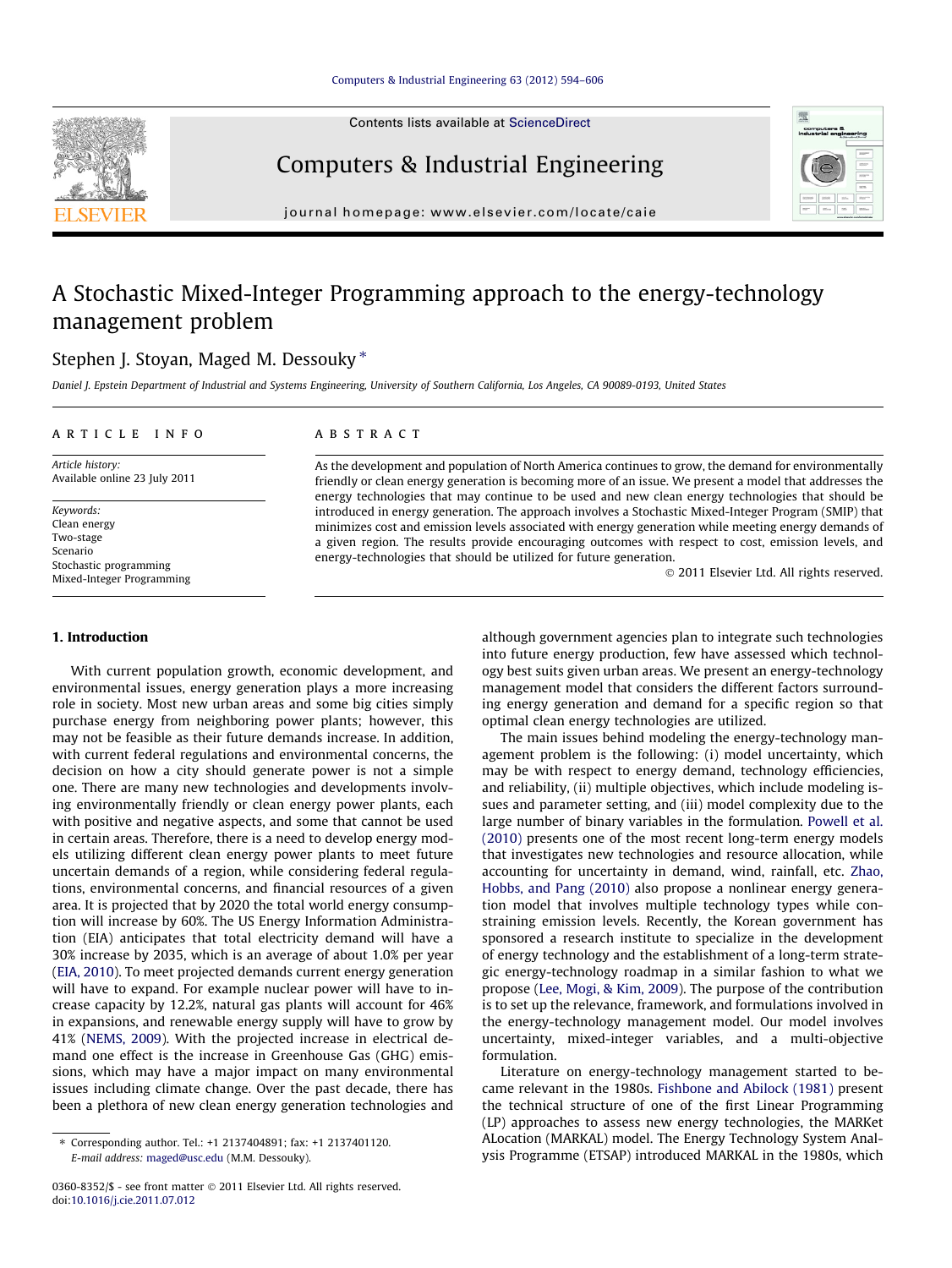Contents lists available at [ScienceDirect](http://www.sciencedirect.com/science/journal/03608352)





journal homepage: [www.elsevier.com/locate/caie](http://www.elsevier.com/locate/caie)

## A Stochastic Mixed-Integer Programming approach to the energy-technology management problem

### Stephen J. Stoyan, Maged M. Dessouky  $*$

Daniel J. Epstein Department of Industrial and Systems Engineering, University of Southern California, Los Angeles, CA 90089-0193, United States

#### article info

Article history: Available online 23 July 2011

Keywords: Clean energy Two-stage Scenario Stochastic programming Mixed-Integer Programming

#### ABSTRACT

As the development and population of North America continues to grow, the demand for environmentally friendly or clean energy generation is becoming more of an issue. We present a model that addresses the energy technologies that may continue to be used and new clean energy technologies that should be introduced in energy generation. The approach involves a Stochastic Mixed-Integer Program (SMIP) that minimizes cost and emission levels associated with energy generation while meeting energy demands of a given region. The results provide encouraging outcomes with respect to cost, emission levels, and energy-technologies that should be utilized for future generation.

- 2011 Elsevier Ltd. All rights reserved.

#### 1. Introduction

With current population growth, economic development, and environmental issues, energy generation plays a more increasing role in society. Most new urban areas and some big cities simply purchase energy from neighboring power plants; however, this may not be feasible as their future demands increase. In addition, with current federal regulations and environmental concerns, the decision on how a city should generate power is not a simple one. There are many new technologies and developments involving environmentally friendly or clean energy power plants, each with positive and negative aspects, and some that cannot be used in certain areas. Therefore, there is a need to develop energy models utilizing different clean energy power plants to meet future uncertain demands of a region, while considering federal regulations, environmental concerns, and financial resources of a given area. It is projected that by 2020 the total world energy consumption will increase by 60%. The US Energy Information Administration (EIA) anticipates that total electricity demand will have a 30% increase by 2035, which is an average of about 1.0% per year ([EIA, 2010](#page--1-0)). To meet projected demands current energy generation will have to expand. For example nuclear power will have to increase capacity by 12.2%, natural gas plants will account for 46% in expansions, and renewable energy supply will have to grow by 41% [\(NEMS, 2009](#page--1-0)). With the projected increase in electrical demand one effect is the increase in Greenhouse Gas (GHG) emissions, which may have a major impact on many environmental issues including climate change. Over the past decade, there has been a plethora of new clean energy generation technologies and although government agencies plan to integrate such technologies into future energy production, few have assessed which technology best suits given urban areas. We present an energy-technology management model that considers the different factors surrounding energy generation and demand for a specific region so that optimal clean energy technologies are utilized.

The main issues behind modeling the energy-technology management problem is the following: (i) model uncertainty, which may be with respect to energy demand, technology efficiencies, and reliability, (ii) multiple objectives, which include modeling issues and parameter setting, and (iii) model complexity due to the large number of binary variables in the formulation. [Powell et al.](#page--1-0) [\(2010\)](#page--1-0) presents one of the most recent long-term energy models that investigates new technologies and resource allocation, while accounting for uncertainty in demand, wind, rainfall, etc. [Zhao,](#page--1-0) [Hobbs, and Pang \(2010\)](#page--1-0) also propose a nonlinear energy generation model that involves multiple technology types while constraining emission levels. Recently, the Korean government has sponsored a research institute to specialize in the development of energy technology and the establishment of a long-term strategic energy-technology roadmap in a similar fashion to what we propose [\(Lee, Mogi, & Kim, 2009\)](#page--1-0). The purpose of the contribution is to set up the relevance, framework, and formulations involved in the energy-technology management model. Our model involves uncertainty, mixed-integer variables, and a multi-objective formulation.

Literature on energy-technology management started to became relevant in the 1980s. [Fishbone and Abilock \(1981\)](#page--1-0) present the technical structure of one of the first Linear Programming (LP) approaches to assess new energy technologies, the MARKet ALocation (MARKAL) model. The Energy Technology System Analysis Programme (ETSAP) introduced MARKAL in the 1980s, which

<sup>⇑</sup> Corresponding author. Tel.: +1 2137404891; fax: +1 2137401120. E-mail address: [maged@usc.edu](mailto:maged@usc.edu) (M.M. Dessouky).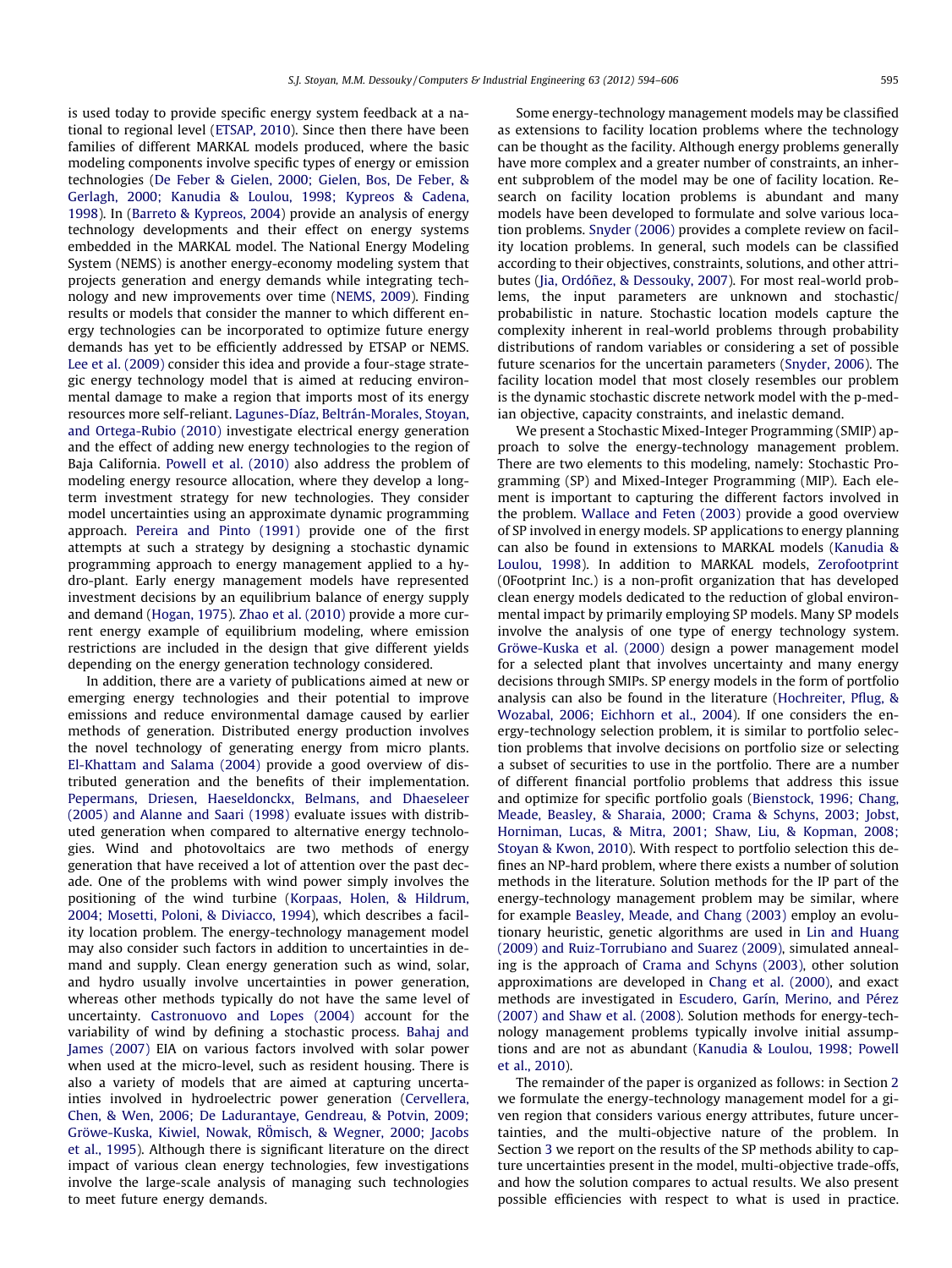is used today to provide specific energy system feedback at a national to regional level ([ETSAP, 2010\)](#page--1-0). Since then there have been families of different MARKAL models produced, where the basic modeling components involve specific types of energy or emission technologies ([De Feber & Gielen, 2000; Gielen, Bos, De Feber, &](#page--1-0) [Gerlagh, 2000; Kanudia & Loulou, 1998; Kypreos & Cadena,](#page--1-0) [1998\)](#page--1-0). In ([Barreto & Kypreos, 2004\)](#page--1-0) provide an analysis of energy technology developments and their effect on energy systems embedded in the MARKAL model. The National Energy Modeling System (NEMS) is another energy-economy modeling system that projects generation and energy demands while integrating technology and new improvements over time [\(NEMS, 2009](#page--1-0)). Finding results or models that consider the manner to which different energy technologies can be incorporated to optimize future energy demands has yet to be efficiently addressed by ETSAP or NEMS. [Lee et al. \(2009\)](#page--1-0) consider this idea and provide a four-stage strategic energy technology model that is aimed at reducing environmental damage to make a region that imports most of its energy resources more self-reliant. [Lagunes-Díaz, Beltrán-Morales, Stoyan,](#page--1-0) [and Ortega-Rubio \(2010\)](#page--1-0) investigate electrical energy generation and the effect of adding new energy technologies to the region of Baja California. [Powell et al. \(2010\)](#page--1-0) also address the problem of modeling energy resource allocation, where they develop a longterm investment strategy for new technologies. They consider model uncertainties using an approximate dynamic programming approach. [Pereira and Pinto \(1991\)](#page--1-0) provide one of the first attempts at such a strategy by designing a stochastic dynamic programming approach to energy management applied to a hydro-plant. Early energy management models have represented investment decisions by an equilibrium balance of energy supply and demand ([Hogan, 1975\)](#page--1-0). [Zhao et al. \(2010\)](#page--1-0) provide a more current energy example of equilibrium modeling, where emission restrictions are included in the design that give different yields depending on the energy generation technology considered.

In addition, there are a variety of publications aimed at new or emerging energy technologies and their potential to improve emissions and reduce environmental damage caused by earlier methods of generation. Distributed energy production involves the novel technology of generating energy from micro plants. [El-Khattam and Salama \(2004\)](#page--1-0) provide a good overview of distributed generation and the benefits of their implementation. [Pepermans, Driesen, Haeseldonckx, Belmans, and Dhaeseleer](#page--1-0) [\(2005\) and Alanne and Saari \(1998\)](#page--1-0) evaluate issues with distributed generation when compared to alternative energy technologies. Wind and photovoltaics are two methods of energy generation that have received a lot of attention over the past decade. One of the problems with wind power simply involves the positioning of the wind turbine ([Korpaas, Holen, & Hildrum,](#page--1-0) [2004; Mosetti, Poloni, & Diviacco, 1994\)](#page--1-0), which describes a facility location problem. The energy-technology management model may also consider such factors in addition to uncertainties in demand and supply. Clean energy generation such as wind, solar, and hydro usually involve uncertainties in power generation, whereas other methods typically do not have the same level of uncertainty. [Castronuovo and Lopes \(2004\)](#page--1-0) account for the variability of wind by defining a stochastic process. [Bahaj and](#page--1-0) [James \(2007\)](#page--1-0) EIA on various factors involved with solar power when used at the micro-level, such as resident housing. There is also a variety of models that are aimed at capturing uncertainties involved in hydroelectric power generation ([Cervellera,](#page--1-0) [Chen, & Wen, 2006; De Ladurantaye, Gendreau, & Potvin, 2009;](#page--1-0) Gröwe-Kuska, Kiwiel, Nowak, RÖmisch, & Wegner, 2000; Jacobs [et al., 1995](#page--1-0)). Although there is significant literature on the direct impact of various clean energy technologies, few investigations involve the large-scale analysis of managing such technologies to meet future energy demands.

Some energy-technology management models may be classified as extensions to facility location problems where the technology can be thought as the facility. Although energy problems generally have more complex and a greater number of constraints, an inherent subproblem of the model may be one of facility location. Research on facility location problems is abundant and many models have been developed to formulate and solve various location problems. [Snyder \(2006\)](#page--1-0) provides a complete review on facility location problems. In general, such models can be classified according to their objectives, constraints, solutions, and other attributes ([Jia, Ordóñez, & Dessouky, 2007\)](#page--1-0). For most real-world problems, the input parameters are unknown and stochastic/ probabilistic in nature. Stochastic location models capture the complexity inherent in real-world problems through probability distributions of random variables or considering a set of possible future scenarios for the uncertain parameters [\(Snyder, 2006](#page--1-0)). The facility location model that most closely resembles our problem is the dynamic stochastic discrete network model with the p-median objective, capacity constraints, and inelastic demand.

We present a Stochastic Mixed-Integer Programming (SMIP) approach to solve the energy-technology management problem. There are two elements to this modeling, namely: Stochastic Programming (SP) and Mixed-Integer Programming (MIP). Each element is important to capturing the different factors involved in the problem. [Wallace and Feten \(2003\)](#page--1-0) provide a good overview of SP involved in energy models. SP applications to energy planning can also be found in extensions to MARKAL models [\(Kanudia &](#page--1-0) [Loulou, 1998\)](#page--1-0). In addition to MARKAL models, [Zerofootprint](#page--1-0) (0Footprint Inc.) is a non-profit organization that has developed clean energy models dedicated to the reduction of global environmental impact by primarily employing SP models. Many SP models involve the analysis of one type of energy technology system. [Gröwe-Kuska et al. \(2000\)](#page--1-0) design a power management model for a selected plant that involves uncertainty and many energy decisions through SMIPs. SP energy models in the form of portfolio analysis can also be found in the literature ([Hochreiter, Pflug, &](#page--1-0) [Wozabal, 2006; Eichhorn et al., 2004](#page--1-0)). If one considers the energy-technology selection problem, it is similar to portfolio selection problems that involve decisions on portfolio size or selecting a subset of securities to use in the portfolio. There are a number of different financial portfolio problems that address this issue and optimize for specific portfolio goals [\(Bienstock, 1996; Chang,](#page--1-0) [Meade, Beasley, & Sharaia, 2000; Crama & Schyns, 2003; Jobst,](#page--1-0) [Horniman, Lucas, & Mitra, 2001; Shaw, Liu, & Kopman, 2008;](#page--1-0) [Stoyan & Kwon, 2010\)](#page--1-0). With respect to portfolio selection this defines an NP-hard problem, where there exists a number of solution methods in the literature. Solution methods for the IP part of the energy-technology management problem may be similar, where for example [Beasley, Meade, and Chang \(2003\)](#page--1-0) employ an evolutionary heuristic, genetic algorithms are used in [Lin and Huang](#page--1-0) [\(2009\) and Ruiz-Torrubiano and Suarez \(2009\)](#page--1-0), simulated annealing is the approach of [Crama and Schyns \(2003\),](#page--1-0) other solution approximations are developed in [Chang et al. \(2000\)](#page--1-0), and exact methods are investigated in [Escudero, Garín, Merino, and Pérez](#page--1-0) [\(2007\) and Shaw et al. \(2008\).](#page--1-0) Solution methods for energy-technology management problems typically involve initial assumptions and are not as abundant ([Kanudia & Loulou, 1998; Powell](#page--1-0) [et al., 2010\)](#page--1-0).

The remainder of the paper is organized as follows: in Section [2](#page--1-0) we formulate the energy-technology management model for a given region that considers various energy attributes, future uncertainties, and the multi-objective nature of the problem. In Section [3](#page--1-0) we report on the results of the SP methods ability to capture uncertainties present in the model, multi-objective trade-offs, and how the solution compares to actual results. We also present possible efficiencies with respect to what is used in practice.